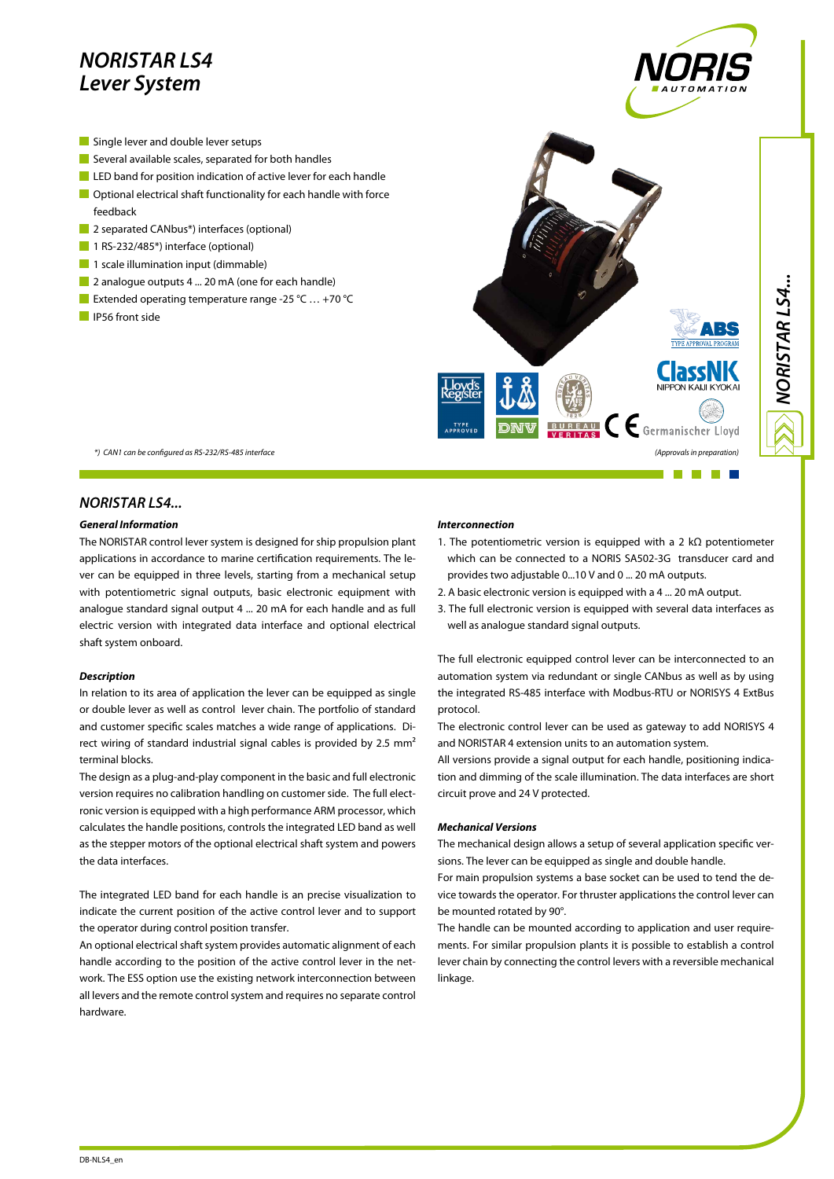# *NORISTAR LS4 Lever System*

- Single lever and double lever setups
- Several available scales, separated for both handles
- **LED** band for position indication of active lever for each handle
- **Optional electrical shaft functionality for each handle with force** feedback
- **2** separated CANbus<sup>\*</sup>) interfaces (optional)
- 1 RS-232/485\*) interface (optional)
- $\blacksquare$  1 scale illumination input (dimmable)
- 2 analogue outputs 4 ... 20 mA (one for each handle)
- Extended operating temperature range -25 °C ... +70 °C
- **IP56** front side



## *NORISTAR LS4...*

#### *General Information*

The NORISTAR control lever system is designed for ship propulsion plant applications in accordance to marine certification requirements. The lever can be equipped in three levels, starting from a mechanical setup with potentiometric signal outputs, basic electronic equipment with analogue standard signal output 4 ... 20 mA for each handle and as full electric version with integrated data interface and optional electrical shaft system onboard.

### *Description*

In relation to its area of application the lever can be equipped as single or double lever as well as control lever chain. The portfolio of standard and customer specific scales matches a wide range of applications. Direct wiring of standard industrial signal cables is provided by 2.5 mm<sup>2</sup> terminal blocks.

The design as a plug-and-play component in the basic and full electronic version requires no calibration handling on customer side. The full electronic version is equipped with a high performance ARM processor, which calculates the handle positions, controls the integrated LED band as well as the stepper motors of the optional electrical shaft system and powers the data interfaces.

The integrated LED band for each handle is an precise visualization to indicate the current position of the active control lever and to support the operator during control position transfer.

An optional electrical shaft system provides automatic alignment of each handle according to the position of the active control lever in the network. The ESS option use the existing network interconnection between all levers and the remote control system and requires no separate control hardware.

### *Interconnection*

- 1. The potentiometric version is equipped with a 2 kΩ potentiometer which can be connected to a NORIS SA502-3G transducer card and provides two adjustable 0...10 V and 0 ... 20 mA outputs.
- 2. A basic electronic version is equipped with a 4 ... 20 mA output.
- 3. The full electronic version is equipped with several data interfaces as well as analogue standard signal outputs.

The full electronic equipped control lever can be interconnected to an automation system via redundant or single CANbus as well as by using the integrated RS-485 interface with Modbus-RTU or NORISYS 4 ExtBus protocol.

The electronic control lever can be used as gateway to add NORISYS 4 and NORISTAR 4 extension units to an automation system.

All versions provide a signal output for each handle, positioning indication and dimming of the scale illumination. The data interfaces are short circuit prove and 24 V protected.

#### *Mechanical Versions*

The mechanical design allows a setup of several application specific versions. The lever can be equipped as single and double handle.

For main propulsion systems a base socket can be used to tend the device towards the operator. For thruster applications the control lever can be mounted rotated by 90°.

The handle can be mounted according to application and user requirements. For similar propulsion plants it is possible to establish a control lever chain by connecting the control levers with a reversible mechanical linkage.